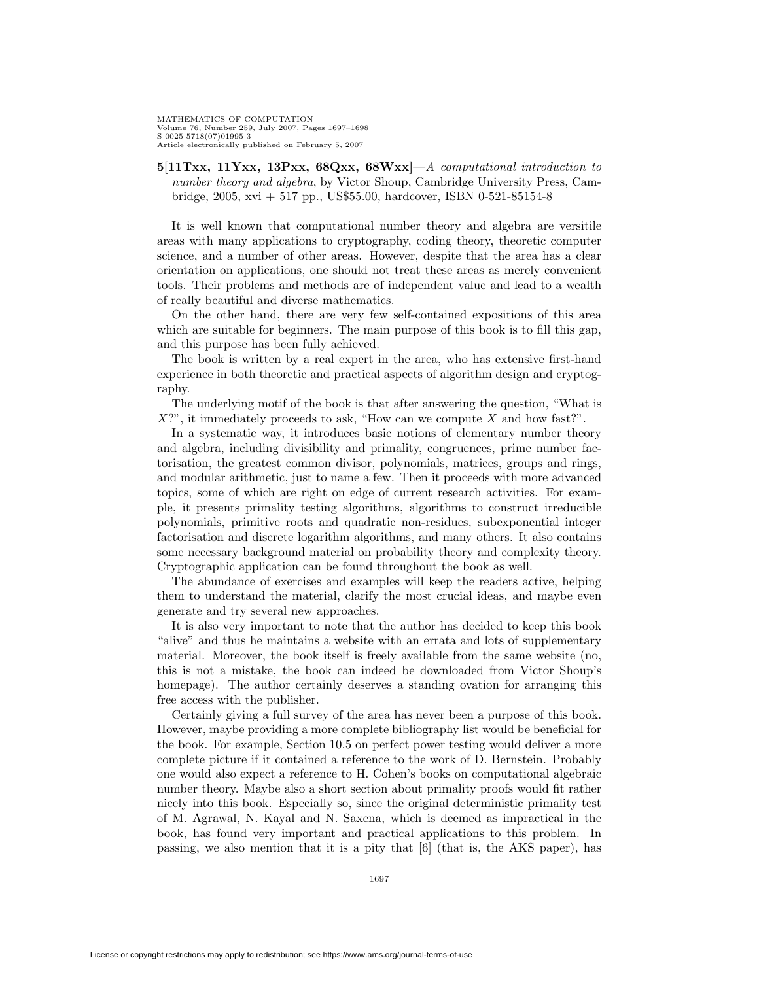MATHEMATICS OF COMPUTATION Volume 76, Number 259, July 2007, Pages 1697–1698 S 0025-5718(07)01995-3 Article electronically published on February 5, 2007

**5[11Txx, 11Yxx, 13Pxx, 68Qxx, 68Wxx]**—A computational introduction to number theory and algebra, by Victor Shoup, Cambridge University Press, Cambridge, 2005, xvi + 517 pp., US\$55.00, hardcover, ISBN 0-521-85154-8

It is well known that computational number theory and algebra are versitile areas with many applications to cryptography, coding theory, theoretic computer science, and a number of other areas. However, despite that the area has a clear orientation on applications, one should not treat these areas as merely convenient tools. Their problems and methods are of independent value and lead to a wealth of really beautiful and diverse mathematics.

On the other hand, there are very few self-contained expositions of this area which are suitable for beginners. The main purpose of this book is to fill this gap, and this purpose has been fully achieved.

The book is written by a real expert in the area, who has extensive first-hand experience in both theoretic and practical aspects of algorithm design and cryptography.

The underlying motif of the book is that after answering the question, "What is  $X$ ?", it immediately proceeds to ask, "How can we compute X and how fast?".

In a systematic way, it introduces basic notions of elementary number theory and algebra, including divisibility and primality, congruences, prime number factorisation, the greatest common divisor, polynomials, matrices, groups and rings, and modular arithmetic, just to name a few. Then it proceeds with more advanced topics, some of which are right on edge of current research activities. For example, it presents primality testing algorithms, algorithms to construct irreducible polynomials, primitive roots and quadratic non-residues, subexponential integer factorisation and discrete logarithm algorithms, and many others. It also contains some necessary background material on probability theory and complexity theory. Cryptographic application can be found throughout the book as well.

The abundance of exercises and examples will keep the readers active, helping them to understand the material, clarify the most crucial ideas, and maybe even generate and try several new approaches.

It is also very important to note that the author has decided to keep this book "alive" and thus he maintains a website with an errata and lots of supplementary material. Moreover, the book itself is freely available from the same website (no, this is not a mistake, the book can indeed be downloaded from Victor Shoup's homepage). The author certainly deserves a standing ovation for arranging this free access with the publisher.

Certainly giving a full survey of the area has never been a purpose of this book. However, maybe providing a more complete bibliography list would be beneficial for the book. For example, Section 10.5 on perfect power testing would deliver a more complete picture if it contained a reference to the work of D. Bernstein. Probably one would also expect a reference to H. Cohen's books on computational algebraic number theory. Maybe also a short section about primality proofs would fit rather nicely into this book. Especially so, since the original deterministic primality test of M. Agrawal, N. Kayal and N. Saxena, which is deemed as impractical in the book, has found very important and practical applications to this problem. In passing, we also mention that it is a pity that [6] (that is, the AKS paper), has